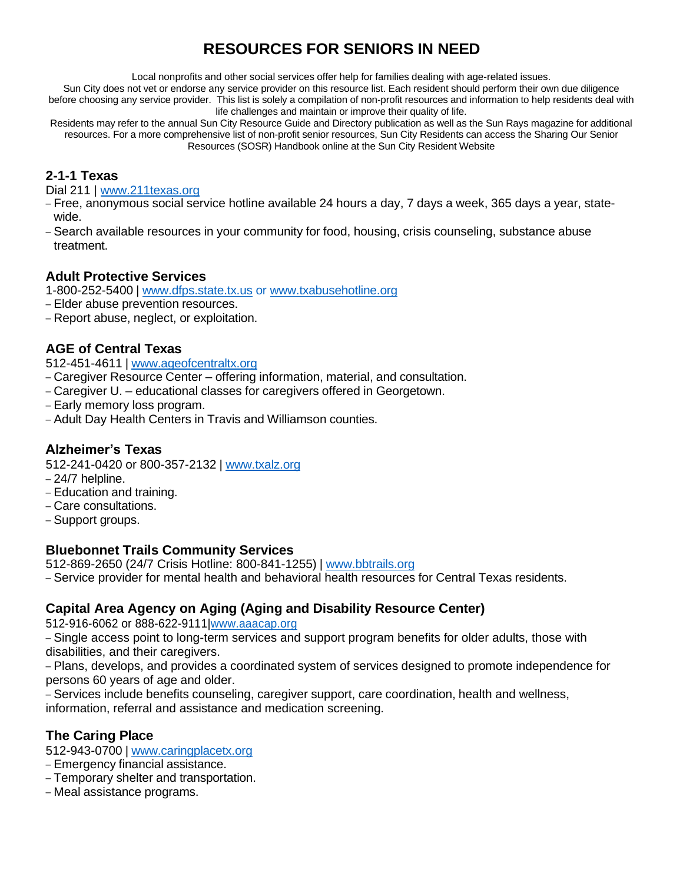# **RESOURCES FOR SENIORS IN NEED**

Local nonprofits and other social services offer help for families dealing with age-related issues.

Sun City does not vet or endorse any service provider on this resource list. Each resident should perform their own due diligence before choosing any service provider. This list is solely a compilation of non-profit resources and information to help residents deal with life challenges and maintain or improve their quality of life.

Residents may refer to the annual Sun City Resource Guide and Directory publication as well as the Sun Rays magazine for additional resources. For a more comprehensive list of non-profit senior resources, Sun City Residents can access the Sharing Our Senior Resources (SOSR) Handbook online at the Sun City Resident Website

# **2-1-1 Texas**

Dial 211 | [www.211texas.org](http://www.211texas.org/)

- Free, anonymous social service hotline available 24 hours a day, 7 days a week, 365 days a year, statewide.
- Search available resources in your community for food, housing, crisis counseling, substance abuse treatment.

# **Adult Protective Services**

1-800-252-5400 | [www.dfps.state.tx.us](http://www.dfps.state.tx.us/) or www.txabusehotline.org

- Elder abuse prevention resources.
- Report abuse, neglect, or exploitation.

# **AGE of Central Texas**

512-451-4611 | [www.ageofcentraltx.org](http://www.ageofcentraltx.org/)

- Caregiver Resource Center offering information, material, and consultation.
- Caregiver U. educational classes for caregivers offered in Georgetown.
- Early memory loss program.
- Adult Day Health Centers in Travis and Williamson counties.

# **Alzheimer's Texas**

512-241-0420 or 800-357-2132 | [www.txalz.org](http://www.txalz.org/)

- 24/7 helpline.
- Education and training.
- Care consultations.
- Support groups.

# **Bluebonnet Trails Community Services**

512-869-2650 (24/7 Crisis Hotline: 800-841-1255) | [www.bbtrails.org](http://www.bbtrails.org/)

– Service provider for mental health and behavioral health resources for Central Texas residents.

# **Capital Area Agency on Aging (Aging and Disability Resource Center)**

512-916-6062 or 888-622-9111[|www.aaacap.org](http://www.aaacap.org/)

– Single access point to long-term services and support program benefits for older adults, those with disabilities, and their caregivers.

– Plans, develops, and provides a coordinated system of services designed to promote independence for persons 60 years of age and older.

– Services include benefits counseling, caregiver support, care coordination, health and wellness, information, referral and assistance and medication screening.

# **The Caring Place**

512-943-0700 | [www.caringplacetx.org](http://www.caringplacetx.org/)

- Emergency financial assistance.
- Temporary shelter and transportation.
- Meal assistance programs.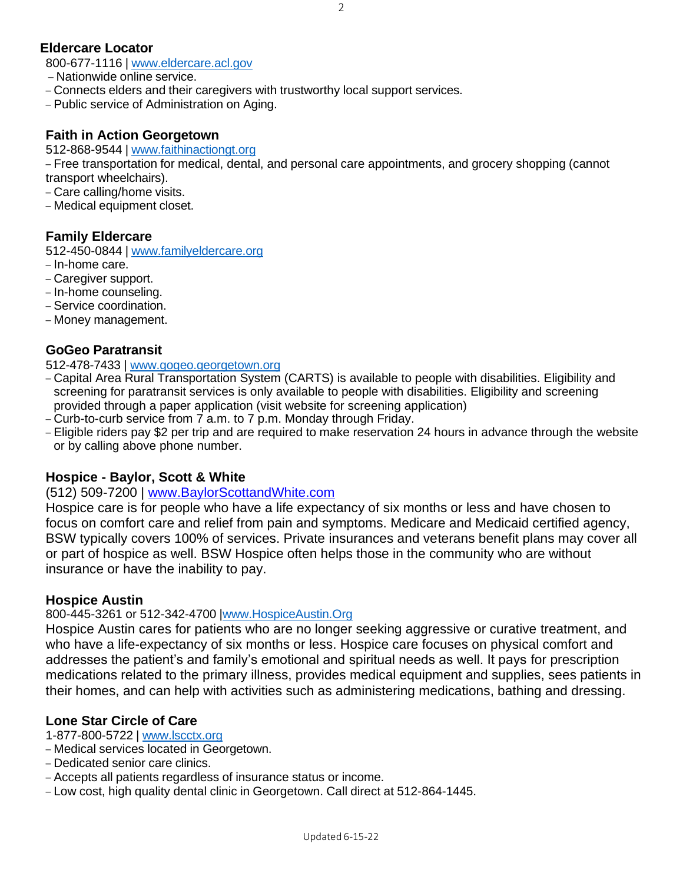## **Eldercare Locator**

800-677-1116 | [www.eldercare.acl.gov](http://www.eldercare.acl.gov/)

- Nationwide online service.
- Connects elders and their caregivers with trustworthy local support services.
- Public service of Administration on Aging.

### **Faith in Action Georgetown**

512-868-9544 | [www.faithinactiongt.org](http://www.faithinactiongt.org/)

– Free transportation for medical, dental, and personal care appointments, and grocery shopping (cannot transport wheelchairs).

– Care calling/home visits.

– Medical equipment closet.

#### **Family Eldercare**

512-450-0844 | [www.familyeldercare.org](http://www.familyeldercare.org/)

- In-home care.
- Caregiver support.
- In-home counseling.
- Service coordination.
- Money management.

### **GoGeo Paratransit**

#### 512-478-7433 | [www.gogeo.georgetown.org](http://www.gogeo.georgetown.org/)

- Capital Area Rural Transportation System (CARTS) is available to people with disabilities. Eligibility and screening for paratransit services is only available to people with disabilities. Eligibility and screening provided through a paper application (visit website for screening application)
- Curb-to-curb service from 7 a.m. to 7 p.m. Monday through Friday.
- Eligible riders pay \$2 per trip and are required to make reservation 24 hours in advance through the website or by calling above phone number.

#### **Hospice - Baylor, Scott & White**

#### (512) 509-7200 | [www.BaylorScottandWhite.com](http://www.baylorscottandwhite.com/)

Hospice care is for people who have a life expectancy of six months or less and have chosen to focus on comfort care and relief from pain and symptoms. Medicare and Medicaid certified agency, BSW typically covers 100% of services. Private insurances and veterans benefit plans may cover all or part of hospice as well. BSW Hospice often helps those in the community who are without insurance or have the inability to pay.

#### **Hospice Austin**

#### 800-445-3261 or 512-342-4700 |www.HospiceAustin.Org

Hospice Austin cares for patients who are no longer seeking aggressive or curative treatment, and who have a life-expectancy of six months or less. Hospice care focuses on physical comfort and addresses the patient's and family's emotional and spiritual needs as well. It pays for prescription medications related to the primary illness, provides medical equipment and supplies, sees patients in their homes, and can help with activities such as administering medications, bathing and dressing.

#### **Lone Star Circle of Care**

- 1-877-800-5722 | [www.lscctx.org](http://www.lscctx.org/)
- Medical services located in Georgetown.
- Dedicated senior care clinics.
- Accepts all patients regardless of insurance status or income.
- Low cost, high quality dental clinic in Georgetown. Call direct at 512-864-1445.